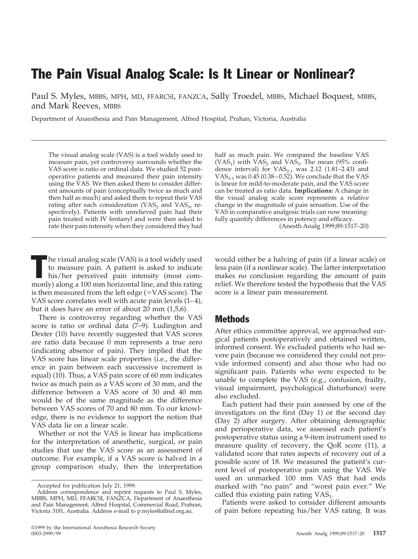# The Pain Visual Analog Scale: Is It Linear or Nonlinear?

Paul S. Myles, MBBS, MPH, MD, FFARCSI, FANZCA, Sally Troedel, MBBS, Michael Boquest, MBBS, and Mark Reeves, MBBS

Department of Anaesthesia and Pain Management, Alfred Hospital, Prahan, Victoria, Australia

The visual analog scale (VAS) is a tool widely used to measure pain, yet controversy surrounds whether the VAS score is ratio or ordinal data. We studied 52 postoperative patients and measured their pain intensity using the VAS. We then asked them to consider different amounts of pain (conceptually twice as much and then half as much) and asked them to repeat their VAS rating after each consideration (VAS<sub>2</sub> and VAS<sub>3</sub>, respectively). Patients with unrelieved pain had their pain treated with IV fentanyl and were then asked to rate their pain intensity when they considered they had half as much pain. We compared the baseline VAS (VAS<sub>1</sub>) with  $\hat{V}AS_2$  and VAS<sub>3</sub>. The mean (95% confidence interval) for  $VAS_{2:1}$  was 2.12 (1.81–2.43) and VAS $_{3:1}$  was 0.45 (0.38 – 0.52). We conclude that the VAS is linear for mild-to-moderate pain, and the VAS score can be treated as ratio data. **Implications:** A change in the visual analog scale score represents a relative change in the magnitude of pain sensation. Use of the VAS in comparative analgesic trials can now meaningfully quantify differences in potency and efficacy.

(Anesth Analg 1999;89:1517–20)

The visual analog scale (VAS) is a tool widely used<br>to measure pain. A patient is asked to indicate<br>his/her perceived pain intensity (most comto measure pain. A patient is asked to indicate monly) along a 100 mm horizontal line, and this rating is then measured from the left edge  $(=VAS score)$ . The VAS score correlates well with acute pain levels (1–4), but it does have an error of about 20 mm (1,5,6).

There is controversy regarding whether the VAS score is ratio or ordinal data (7–9). Ludington and Dexter (10) have recently suggested that VAS scores are ratio data because 0 mm represents a true zero (indicating absence of pain). They implied that the VAS score has linear scale properties (i.e., the difference in pain between each successive increment is equal) (10). Thus, a VAS pain score of 60 mm indicates twice as much pain as a VAS score of 30 mm, and the difference between a VAS score of 30 and 40 mm would be of the same magnitude as the difference between VAS scores of 70 and 80 mm. To our knowledge, there is no evidence to support the notion that VAS data lie on a linear scale.

Whether or not the VAS is linear has implications for the interpretation of anesthetic, surgical, or pain studies that use the VAS score as an assessment of outcome. For example, if a VAS score is halved in a group comparison study, then the interpretation

would either be a halving of pain (if a linear scale) or less pain (if a nonlinear scale). The latter interpretation makes no conclusion regarding the amount of pain relief. We therefore tested the hypothesis that the VAS score is a linear pain measurement.

## Methods

After ethics committee approval, we approached surgical patients postoperatively and obtained written, informed consent. We excluded patients who had severe pain (because we considered they could not provide informed consent) and also those who had no significant pain. Patients who were expected to be unable to complete the VAS (e.g., confusion, frailty, visual impairment, psychological disturbance) were also excluded.

Each patient had their pain assessed by one of the investigators on the first (Day 1) or the second day (Day 2) after surgery. After obtaining demographic and perioperative data, we assessed each patient's postoperative status using a 9-item instrument used to measure quality of recovery, the QoR score (11), a validated score that rates aspects of recovery out of a possible score of 18. We measured the patient's current level of postoperative pain using the VAS. We used an unmarked 100 mm VAS that had ends marked with "no pain" and "worst pain ever." We called this existing pain rating  $VAS<sub>1</sub>$ .

Patients were asked to consider different amounts of pain before repeating his/her VAS rating. It was

Accepted for publication July 21, 1999.

Address correspondence and reprint requests to Paul S. Myles, MBBS, MPH, MD, FFARCSI, FANZCA, Department of Anaesthesia and Pain Management, Alfred Hospital, Commercial Road, Prahran, Victoria 3181, Australia. Address e-mail to p.myles@alfred.org.au.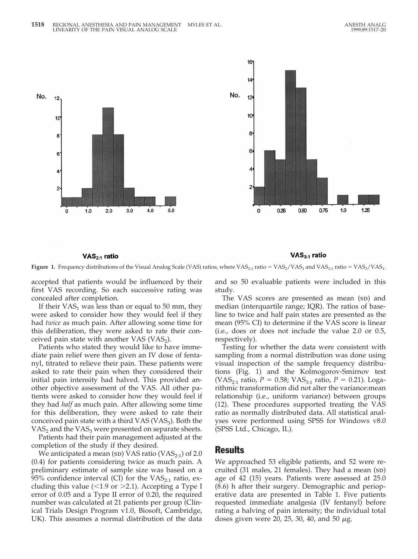

**Figure 1.** Frequency distributions of the Visual Analog Scale (VAS) ratios, where  $VAS_{2:1}$  ratio =  $VAS_2/VAS_1$  and  $VAS_{3:1}$  ratio =  $VAS_3/VAS_1$ .

accepted that patients would be influenced by their first VAS recording. So each successive rating was concealed after completion.

 $\mathsf{VAS}_{2:1}$  ratio

If their  $VAS_1$  was less than or equal to 50 mm, they were asked to consider how they would feel if they had *twice* as much pain. After allowing some time for this deliberation, they were asked to rate their conceived pain state with another VAS  $(VAS<sub>2</sub>)$ .

Patients who stated they would like to have immediate pain relief were then given an IV dose of fentanyl, titrated to relieve their pain. These patients were asked to rate their pain when they considered their initial pain intensity had halved. This provided another objective assessment of the VAS. All other patients were asked to consider how they would feel if they had *half* as much pain. After allowing some time for this deliberation, they were asked to rate their conceived pain state with a third VAS (VAS<sub>3</sub>). Both the  $VAS<sub>2</sub>$  and the  $VAS<sub>3</sub>$  were presented on separate sheets.

Patients had their pain management adjusted at the completion of the study if they desired.

We anticipated a mean (sp) VAS ratio (VAS $_{2:1}$ ) of 2.0 (0.4) for patients considering twice as much pain. A preliminary estimate of sample size was based on a 95% confidence interval (CI) for the  $VAS_{2:1}$  ratio, excluding this value ( $<$ 1.9 or  $>$ 2.1). Accepting a Type I error of 0.05 and a Type II error of 0.20, the required number was calculated at 21 patients per group (Clinical Trials Design Program v1.0, Biosoft, Cambridge, UK). This assumes a normal distribution of the data

and so 50 evaluable patients were included in this study.

 $\mathsf{VAS}_{3:1}$  ratio

The VAS scores are presented as mean (sp) and median (interquartile range; IQR). The ratios of baseline to twice and half pain states are presented as the mean (95% CI) to determine if the VAS score is linear (i.e., does or does not include the value 2.0 or 0.5, respectively).

Testing for whether the data were consistent with sampling from a normal distribution was done using visual inspection of the sample frequency distributions (Fig. 1) and the Kolmogorov-Smirnov test (VAS<sub>2:1</sub> ratio, *P* = 0.58; VAS<sub>3:1</sub> ratio, *P* = 0.21). Logarithmic transformation did not alter the variance:mean relationship (i.e., uniform variance) between groups (12). These procedures supported treating the VAS ratio as normally distributed data. All statistical analyses were performed using SPSS for Windows v8.0 (SPSS Ltd., Chicago, IL).

#### Results

We approached 53 eligible patients, and 52 were recruited  $(31 \text{ males}, 21 \text{ females})$ . They had a mean  $(\text{sp})$ age of 42 (15) years. Patients were assessed at 25.0 (8.6) h after their surgery. Demographic and perioperative data are presented in Table 1. Five patients requested immediate analgesia (IV fentanyl) before rating a halving of pain intensity; the individual total doses given were 20, 25, 30, 40, and 50  $\mu$ g.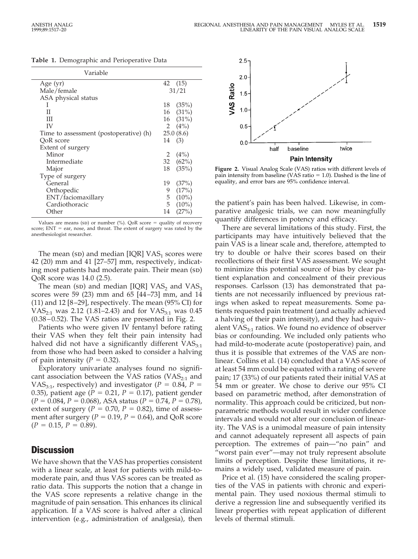|  |  | Table 1. Demographic and Perioperative Data |  |
|--|--|---------------------------------------------|--|
|--|--|---------------------------------------------|--|

| Variable                               |               |  |
|----------------------------------------|---------------|--|
| Age $(yr)$                             | 42 (15)       |  |
| Male/female                            | 31/21         |  |
| ASA physical status                    |               |  |
| L                                      | (35%)<br>18   |  |
| П                                      | $16$ $(31\%)$ |  |
| Ш                                      | $16$ $(31\%)$ |  |
| IV                                     | 2 $(4\%)$     |  |
| Time to assessment (postoperative) (h) | 25.0(8.6)     |  |
| QoR score                              | (3)<br>14     |  |
| Extent of surgery                      |               |  |
| Minor                                  | (4%)<br>2     |  |
| Intermediate                           | 32 $(62\%)$   |  |
| Major                                  | (35%)<br>18   |  |
| Type of surgery                        |               |  |
| General                                | (37%)<br>19   |  |
| Orthopedic                             | (17%)<br>9    |  |
| ENT/faciomaxillary                     | 5<br>$(10\%)$ |  |
| Cardiothoracic                         | $(10\%)$<br>5 |  |
| Other                                  | (27%)<br>14   |  |

Values are means (sp) or number (%). QoR score = quality of recovery score;  $ENT = ear$ , nose, and throat. The extent of surgery was rated by the anesthesiologist researcher.

The mean (sp) and median [IQR]  $VAS_1$  scores were 42 (20) mm and 41 [27–57] mm, respectively, indicating most patients had moderate pain. Their mean (sp) QoR score was 14.0 (2.5).

The mean (sp) and median [IQR] VAS<sub>2</sub> and VAS<sub>3</sub> scores were 59 (23) mm and 65 [44–73] mm, and 14 (11) and 12 [8–29], respectively. The mean (95% CI) for  $VAS_{2:1}$  was 2.12 (1.81–2.43) and for  $VAS_{3:1}$  was 0.45 (0.38–0.52). The VAS ratios are presented in Fig. 2.

Patients who were given IV fentanyl before rating their VAS when they felt their pain intensity had halved did not have a significantly different  $VAS_{3:1}$ from those who had been asked to consider a halving of pain intensity  $(P = 0.32)$ .

Exploratory univariate analyses found no significant association between the VAS ratios ( $VAS<sub>2:1</sub>$  and VAS<sub>3:1</sub>, respectively) and investigator ( $P = 0.84$ ,  $P =$ 0.35), patient age ( $P = 0.21$ ,  $P = 0.17$ ), patient gender  $(P = 0.084, P = 0.068)$ , ASA status  $(P = 0.74, P = 0.78)$ , extent of surgery  $(P = 0.70, P = 0.82)$ , time of assessment after surgery ( $P = 0.19$ ,  $P = 0.64$ ), and QoR score  $(P = 0.15, P = 0.89).$ 

# **Discussion**

We have shown that the VAS has properties consistent with a linear scale, at least for patients with mild-tomoderate pain, and thus VAS scores can be treated as ratio data. This supports the notion that a change in the VAS score represents a relative change in the magnitude of pain sensation. This enhances its clinical application. If a VAS score is halved after a clinical intervention (e.g., administration of analgesia), then



**Figure 2.** Visual Analog Scale (VAS) ratios with different levels of pain intensity from baseline (VAS ratio  $= 1.0$ ). Dashed is the line of equality, and error bars are 95% confidence interval.

the patient's pain has been halved. Likewise, in comparative analgesic trials, we can now meaningfully quantify differences in potency and efficacy.

There are several limitations of this study. First, the participants may have intuitively believed that the pain VAS is a linear scale and, therefore, attempted to try to double or halve their scores based on their recollections of their first VAS assessment. We sought to minimize this potential source of bias by clear patient explanation and concealment of their previous responses. Carlsson (13) has demonstrated that patients are not necessarily influenced by previous ratings when asked to repeat measurements. Some patients requested pain treatment (and actually achieved a halving of their pain intensity), and they had equivalent  $VAS_{3:1}$  ratios. We found no evidence of observer bias or confounding. We included only patients who had mild-to-moderate acute (postoperative) pain, and thus it is possible that extremes of the VAS are nonlinear. Collins et al. (14) concluded that a VAS score of at least 54 mm could be equated with a rating of severe pain; 17 (33%) of our patients rated their initial VAS at 54 mm or greater. We chose to derive our 95% CI based on parametric method, after demonstration of normality. This approach could be criticized, but nonparametric methods would result in wider confidence intervals and would not alter our conclusion of linearity. The VAS is a unimodal measure of pain intensity and cannot adequately represent all aspects of pain perception. The extremes of pain—"no pain" and "worst pain ever"—may not truly represent absolute limits of perception. Despite these limitations, it remains a widely used, validated measure of pain.

Price et al. (15) have considered the scaling properties of the VAS in patients with chronic and experimental pain. They used noxious thermal stimuli to derive a regression line and subsequently verified its linear properties with repeat application of different levels of thermal stimuli.